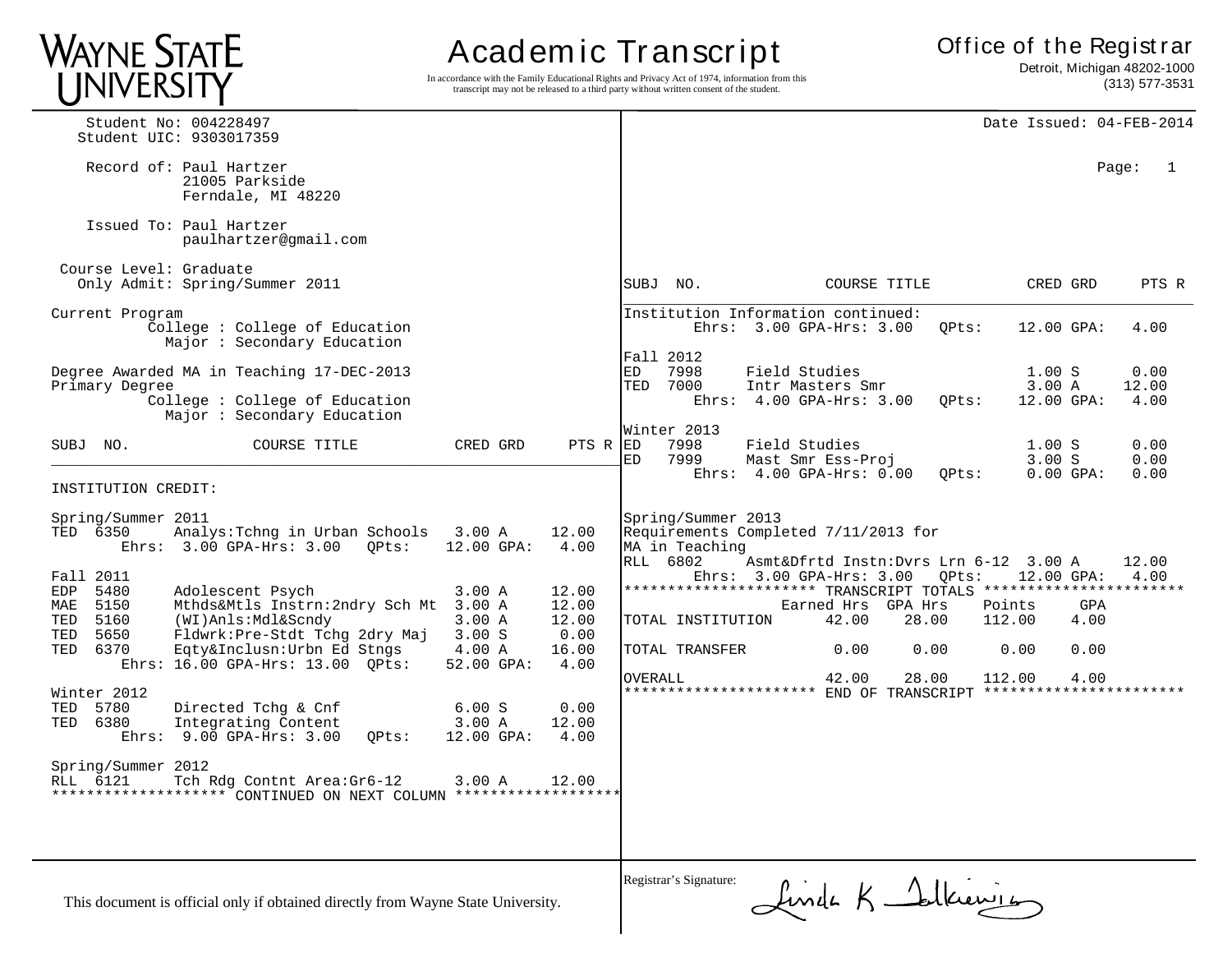# WAYNE STATE<br>UNIVERSITY

# Academ ic Transcript

In accordance with the Family Educational Rights and Privacy Act of 1974, information from this transcript may not be released to a third party without written consent of the student.

 Detroit, Michigan 48202-1000 (313) 577-3531

| Student No: 004228497<br>Student UIC: 9303017359                                                                                                                                                                       |                          |                                 | Date Issued: 04-FEB-2014                                                                                                                                                                              |
|------------------------------------------------------------------------------------------------------------------------------------------------------------------------------------------------------------------------|--------------------------|---------------------------------|-------------------------------------------------------------------------------------------------------------------------------------------------------------------------------------------------------|
| Record of: Paul Hartzer<br>21005 Parkside<br>Ferndale, MI 48220                                                                                                                                                        |                          |                                 | Page:<br>1                                                                                                                                                                                            |
| Issued To: Paul Hartzer<br>paulhartzer@gmail.com                                                                                                                                                                       |                          |                                 |                                                                                                                                                                                                       |
| Course Level: Graduate<br>Only Admit: Spring/Summer 2011                                                                                                                                                               |                          |                                 | SUBJ NO.<br>COURSE TITLE<br>CRED GRD<br>PTS R                                                                                                                                                         |
| Current Program<br>College: College of Education<br>Major : Secondary Education                                                                                                                                        |                          |                                 | Institution Information continued:<br>Ehrs: 3.00 GPA-Hrs: 3.00<br>4.00<br>OPts:<br>$12.00$ GPA:                                                                                                       |
| Degree Awarded MA in Teaching 17-DEC-2013<br>Primary Degree<br>Collect: College of Education<br>Major: Secondary Education                                                                                             |                          |                                 | Fall 2012<br>7998<br>Field Studies<br>1.00 S<br>0.00<br>ED<br>7000<br>TED<br>Intr Masters Smr<br>3.00 A<br>12.00<br>Ehrs: $4.00$ GPA-Hrs: $3.00$<br>12.00 GPA:<br>4.00<br>OPts:                       |
| SUBJ NO.<br>COURSE TITLE                                                                                                                                                                                               | CRED GRD                 | $PTS R$ R                       | Winter 2013<br>7998<br>Field Studies<br>0.00<br>1.00 S<br>7999<br>ED<br>Mast Smr Ess-Proj<br>3.00 S<br>0.00<br>Ehrs: $4.00$ GPA-Hrs: $0.00$<br>$0.00$ GPA:<br>0.00                                    |
| INSTITUTION CREDIT:                                                                                                                                                                                                    |                          |                                 | OPts:                                                                                                                                                                                                 |
| Spring/Summer 2011<br>TED 6350<br>Analys: Tchng in Urban Schools<br>$3.00 \text{ A}$<br>Ehrs: 3.00 GPA-Hrs: 3.00<br>OPts:<br>Fall 2011<br>5480<br>Adolescent Psych<br>3.00 A<br>EDP                                    | 12.00 GPA:               | 12.00<br>4.00<br>12.00          | Spring/Summer 2013<br>Requirements Completed 7/11/2013 for<br>MA in Teaching<br>RLL 6802<br>Asmt&Dfrtd Instn:Dvrs Lrn 6-12 3.00 A<br>12.00<br>Ehrs: 3.00 GPA-Hrs: 3.00<br>QPts:<br>12.00 GPA:<br>4.00 |
| 5150<br>Mthds&Mtls Instrn: 2ndry Sch Mt 3.00 A<br>MAE<br>5160<br>(WI)Anls:Mdl&Scndy<br>3.00 A<br>TED<br>5650<br>Fldwrk: Pre-Stdt Tchg 2dry Maj<br>3.00 S<br>TED<br>Eqty&Inclusn:Urbn Ed Stngs<br>6370<br>4.00 A<br>TED |                          | 12.00<br>12.00<br>0.00<br>16.00 | Earned Hrs GPA Hrs<br>Points<br>GPA<br>42.00<br>28.00<br>112.00<br>4.00<br>TOTAL INSTITUTION<br>TOTAL TRANSFER<br>0.00<br>0.00<br>0.00<br>0.00                                                        |
| Ehrs: 16.00 GPA-Hrs: 13.00 QPts:<br>Winter 2012<br>TED<br>5780<br>Directed Tchq & Cnf<br>6.00 S<br>6380<br>Integrating Content<br>3.00 A<br>TED<br>9.00 GPA-Hrs: 3.00<br>QPts:<br>$Ehrs$ :                             | 52.00 GPA:<br>12.00 GPA: | 4.00<br>0.00<br>12.00<br>4.00   | 42.00<br>28.00<br>112.00<br>4.00<br><b>OVERALL</b><br>********************** END OF TRANSCRIPT ***************                                                                                        |
| Spring/Summer 2012<br>RLL 6121<br>Tch Rdg Contnt Area: Gr6-12<br>3.00 A                                                                                                                                                |                          | 12.00                           |                                                                                                                                                                                                       |
| This document is official only if obtained directly from Wayne State University.                                                                                                                                       |                          |                                 | Registrar's Signature:<br>Linde K Salkienie                                                                                                                                                           |